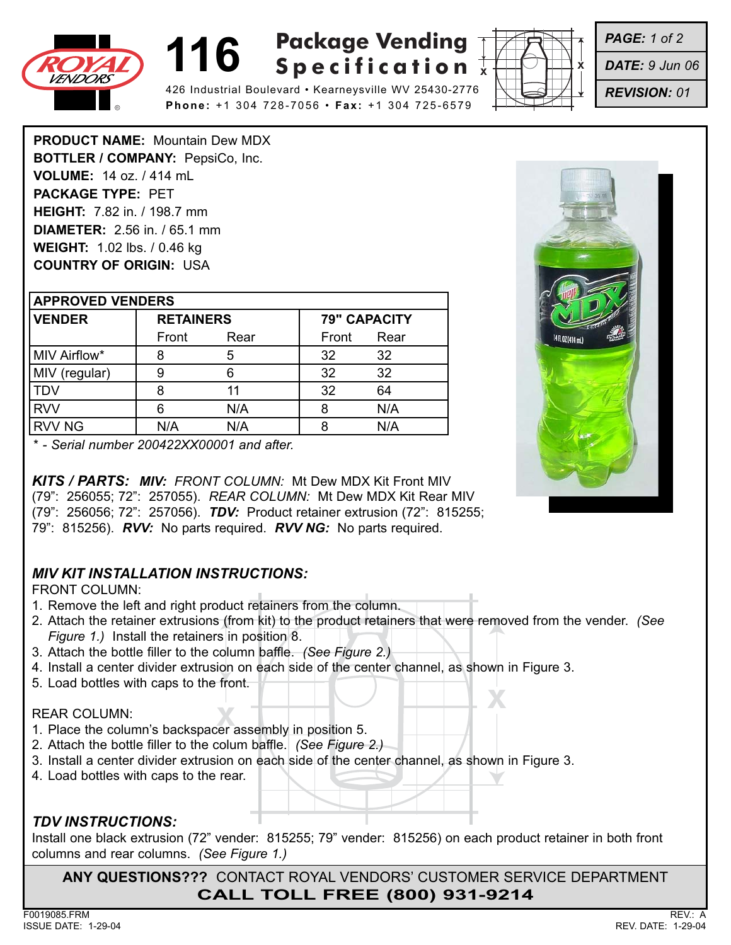





*PAGE: 1 of 2*

*DATE: 9 Jun 06*

*REVISION: 01*

**PRODUCT NAME:** Mountain Dew MDX **BOTTLER / COMPANY:** PepsiCo, Inc. **VOLUME:** 14 oz. / 414 mL **PACKAGE TYPE:** PET **HEIGHT:** 7.82 in. / 198.7 mm **DIAMETER:** 2.56 in. / 65.1 mm **WEIGHT:** 1.02 lbs. / 0.46 kg **COUNTRY OF ORIGIN:** USA

| <b>APPROVED VENDERS</b> |                  |      |       |                     |  |
|-------------------------|------------------|------|-------|---------------------|--|
| <b>VENDER</b>           | <b>RETAINERS</b> |      |       | <b>79" CAPACITY</b> |  |
|                         | Front            | Rear | Front | Rear                |  |
| MIV Airflow*            |                  | 5    | 32    | 32                  |  |
| MIV (regular)           |                  |      | 32    | 32                  |  |
| <b>TDV</b>              |                  | 11   | 32    | 64                  |  |
| <b>RVV</b>              |                  | N/A  |       | N/A                 |  |
| <b>RVV NG</b>           | N/A              | N/A  |       | N/A                 |  |



*\* - Serial number 200422XX00001 and after.*

*KITS / PARTS: MIV: FRONT COLUMN:* Mt Dew MDX Kit Front MIV (79": 256055; 72": 257055). *REAR COLUMN:* Mt Dew MDX Kit Rear MIV (79": 256056; 72": 257056). *TDV:* Product retainer extrusion (72": 815255; 79": 815256). *RVV:* No parts required. *RVV NG:* No parts required.

### *MIV KIT INSTALLATION INSTRUCTIONS:*

FRONT COLUMN:

- 1. Remove the left and right product retainers from the column.
- 2. Attach the retainer extrusions (from kit) to the product retainers that were removed from the vender. *(See Figure 1.)* Install the retainers in position 8.
- 3. Attach the bottle filler to the column baffle. *(See Figure 2.)*
- 4. Install a center divider extrusion on each side of the center channel, as shown in Figure 3.
- 5. Load bottles with caps to the front.

#### REAR COLUMN:

- **XEAR COLUMN:**<br>
1. Place the column's backspacer assembly in position 5.
- 2. Attach the bottle filler to the colum baffle. *(See Figure 2.)*
- 3. Install a center divider extrusion on each side of the center channel, as shown in Figure 3.
- 4. Load bottles with caps to the rear.

## *TDV INSTRUCTIONS:*

Install one black extrusion (72" vender: 815255; 79" vender: 815256) on each product retainer in both front columns and rear columns. *(See Figure 1.)*

**ANY QUESTIONS???** CONTACT ROYAL VENDORS' CUSTOMER SERVICE DEPARTMENT **CALL TOLL FREE (800) 931-9214**